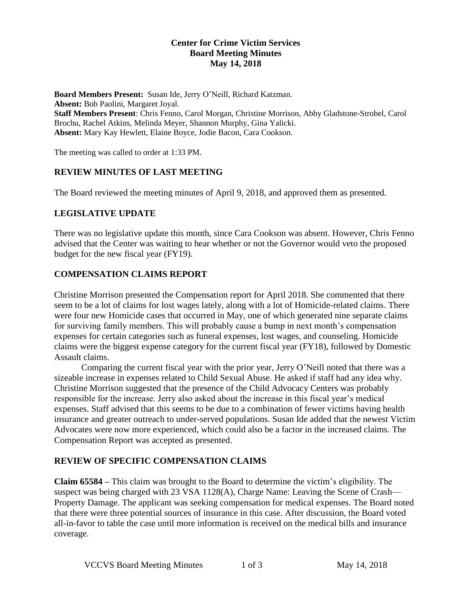#### **Center for Crime Victim Services Board Meeting Minutes May 14, 2018**

**Board Members Present:** Susan Ide, Jerry O'Neill, Richard Katzman. **Absent:** Bob Paolini, Margaret Joyal. **Staff Members Present**: Chris Fenno, Carol Morgan, Christine Morrison, Abby Gladstone-Strobel, Carol Brochu, Rachel Atkins, Melinda Meyer, Shannon Murphy, Gina Yalicki. **Absent:** Mary Kay Hewlett, Elaine Boyce, Jodie Bacon, Cara Cookson.

The meeting was called to order at 1:33 PM.

# **REVIEW MINUTES OF LAST MEETING**

The Board reviewed the meeting minutes of April 9, 2018, and approved them as presented.

# **LEGISLATIVE UPDATE**

There was no legislative update this month, since Cara Cookson was absent. However, Chris Fenno advised that the Center was waiting to hear whether or not the Governor would veto the proposed budget for the new fiscal year (FY19).

# **COMPENSATION CLAIMS REPORT**

Christine Morrison presented the Compensation report for April 2018. She commented that there seem to be a lot of claims for lost wages lately, along with a lot of Homicide-related claims. There were four new Homicide cases that occurred in May, one of which generated nine separate claims for surviving family members. This will probably cause a bump in next month's compensation expenses for certain categories such as funeral expenses, lost wages, and counseling. Homicide claims were the biggest expense category for the current fiscal year (FY18), followed by Domestic Assault claims.

Comparing the current fiscal year with the prior year, Jerry O'Neill noted that there was a sizeable increase in expenses related to Child Sexual Abuse. He asked if staff had any idea why. Christine Morrison suggested that the presence of the Child Advocacy Centers was probably responsible for the increase. Jerry also asked about the increase in this fiscal year's medical expenses. Staff advised that this seems to be due to a combination of fewer victims having health insurance and greater outreach to under-served populations. Susan Ide added that the newest Victim Advocates were now more experienced, which could also be a factor in the increased claims. The Compensation Report was accepted as presented.

### **REVIEW OF SPECIFIC COMPENSATION CLAIMS**

**Claim 65584 –** This claim was brought to the Board to determine the victim's eligibility. The suspect was being charged with 23 VSA 1128(A), Charge Name: Leaving the Scene of Crash— Property Damage. The applicant was seeking compensation for medical expenses. The Board noted that there were three potential sources of insurance in this case. After discussion, the Board voted all-in-favor to table the case until more information is received on the medical bills and insurance coverage.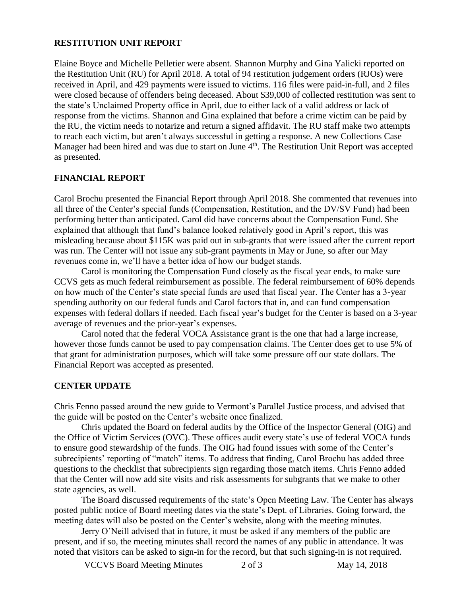#### **RESTITUTION UNIT REPORT**

Elaine Boyce and Michelle Pelletier were absent. Shannon Murphy and Gina Yalicki reported on the Restitution Unit (RU) for April 2018. A total of 94 restitution judgement orders (RJOs) were received in April, and 429 payments were issued to victims. 116 files were paid-in-full, and 2 files were closed because of offenders being deceased. About \$39,000 of collected restitution was sent to the state's Unclaimed Property office in April, due to either lack of a valid address or lack of response from the victims. Shannon and Gina explained that before a crime victim can be paid by the RU, the victim needs to notarize and return a signed affidavit. The RU staff make two attempts to reach each victim, but aren't always successful in getting a response. A new Collections Case Manager had been hired and was due to start on June 4<sup>th</sup>. The Restitution Unit Report was accepted as presented.

#### **FINANCIAL REPORT**

Carol Brochu presented the Financial Report through April 2018. She commented that revenues into all three of the Center's special funds (Compensation, Restitution, and the DV/SV Fund) had been performing better than anticipated. Carol did have concerns about the Compensation Fund. She explained that although that fund's balance looked relatively good in April's report, this was misleading because about \$115K was paid out in sub-grants that were issued after the current report was run. The Center will not issue any sub-grant payments in May or June, so after our May revenues come in, we'll have a better idea of how our budget stands.

Carol is monitoring the Compensation Fund closely as the fiscal year ends, to make sure CCVS gets as much federal reimbursement as possible. The federal reimbursement of 60% depends on how much of the Center's state special funds are used that fiscal year. The Center has a 3-year spending authority on our federal funds and Carol factors that in, and can fund compensation expenses with federal dollars if needed. Each fiscal year's budget for the Center is based on a 3-year average of revenues and the prior-year's expenses.

Carol noted that the federal VOCA Assistance grant is the one that had a large increase, however those funds cannot be used to pay compensation claims. The Center does get to use 5% of that grant for administration purposes, which will take some pressure off our state dollars. The Financial Report was accepted as presented.

### **CENTER UPDATE**

Chris Fenno passed around the new guide to Vermont's Parallel Justice process, and advised that the guide will be posted on the Center's website once finalized.

Chris updated the Board on federal audits by the Office of the Inspector General (OIG) and the Office of Victim Services (OVC). These offices audit every state's use of federal VOCA funds to ensure good stewardship of the funds. The OIG had found issues with some of the Center's subrecipients' reporting of "match" items. To address that finding, Carol Brochu has added three questions to the checklist that subrecipients sign regarding those match items. Chris Fenno added that the Center will now add site visits and risk assessments for subgrants that we make to other state agencies, as well.

The Board discussed requirements of the state's Open Meeting Law. The Center has always posted public notice of Board meeting dates via the state's Dept. of Libraries. Going forward, the meeting dates will also be posted on the Center's website, along with the meeting minutes.

Jerry O'Neill advised that in future, it must be asked if any members of the public are present, and if so, the meeting minutes shall record the names of any public in attendance. It was noted that visitors can be asked to sign-in for the record, but that such signing-in is not required.

VCCVS Board Meeting Minutes 2 of 3 May 14, 2018